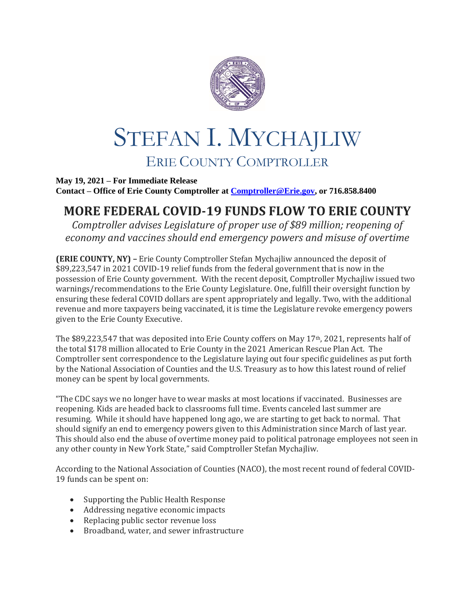

## STEFAN I. MYCHAJLIW ERIE COUNTY COMPTROLLER

**May 19, 2021 – For Immediate Release Contact – Office of Erie County Comptroller at [Comptroller@Erie.gov,](mailto:Comptroller@Erie.gov) or 716.858.8400**

## **MORE FEDERAL COVID-19 FUNDS FLOW TO ERIE COUNTY**

*Comptroller advises Legislature of proper use of \$89 million; reopening of economy and vaccines should end emergency powers and misuse of overtime*

**(ERIE COUNTY, NY) –** Erie County Comptroller Stefan Mychajliw announced the deposit of \$89,223,547 in 2021 COVID-19 relief funds from the federal government that is now in the possession of Erie County government. With the recent deposit, Comptroller Mychajliw issued two warnings/recommendations to the Erie County Legislature. One, fulfill their oversight function by ensuring these federal COVID dollars are spent appropriately and legally. Two, with the additional revenue and more taxpayers being vaccinated, it is time the Legislature revoke emergency powers given to the Erie County Executive.

The \$89,223,547 that was deposited into Erie County coffers on May 17th, 2021, represents half of the total \$178 million allocated to Erie County in the 2021 American Rescue Plan Act. The Comptroller sent correspondence to the Legislature laying out four specific guidelines as put forth by the National Association of Counties and the U.S. Treasury as to how this latest round of relief money can be spent by local governments.

"The CDC says we no longer have to wear masks at most locations if vaccinated. Businesses are reopening. Kids are headed back to classrooms full time. Events canceled last summer are resuming. While it should have happened long ago, we are starting to get back to normal. That should signify an end to emergency powers given to this Administration since March of last year. This should also end the abuse of overtime money paid to political patronage employees not seen in any other county in New York State," said Comptroller Stefan Mychajliw.

According to the National Association of Counties (NACO), the most recent round of federal COVID-19 funds can be spent on:

- Supporting the Public Health Response
- Addressing negative economic impacts
- Replacing public sector revenue loss
- Broadband, water, and sewer infrastructure